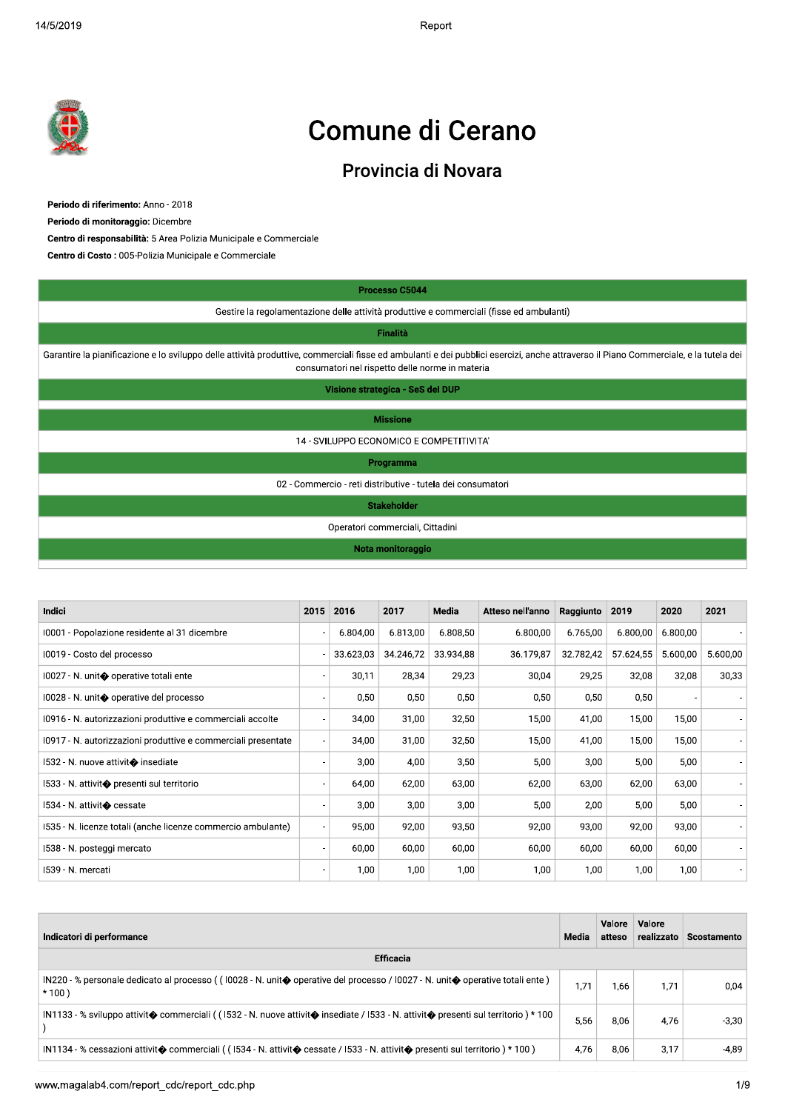$2019$  Report of the set of the set of the set of the set of the set of the set of the set of the set of the set of the set of the set of the set of the set of the set of the set of the set of the set of the set of the se Report



# Comune di Cerano

## Provincia di Novara

Periodo di riferimento: Anno - 2018

Periodo di monitoraggio: Dicembre<br>Centro di responsabilità: 5 Area Polizia Municipale e Commerciale<br>Centro di Costo : 005-Polizia Municipale e Commerciale

|                                                                                                                                                                                                                                                                                                         |      |           | Processo C5044                   |                                                             |                  |                |                  |        |          |                        |
|---------------------------------------------------------------------------------------------------------------------------------------------------------------------------------------------------------------------------------------------------------------------------------------------------------|------|-----------|----------------------------------|-------------------------------------------------------------|------------------|----------------|------------------|--------|----------|------------------------|
| Gestire la regolamentazione delle attività produttive e commerciali (fisse ed ambulanti)                                                                                                                                                                                                                |      |           |                                  |                                                             |                  |                |                  |        |          |                        |
|                                                                                                                                                                                                                                                                                                         |      |           | <b>Finalità</b>                  |                                                             |                  |                |                  |        |          |                        |
| Garantire la pianificazione e lo sviluppo delle attività produttive, commerciali fisse ed ambulanti e dei pubblici esercizi, anche attraverso il Piano Commerciale, e la tutela dei                                                                                                                     |      |           |                                  | consumatori nel rispetto delle norme in materia             |                  |                |                  |        |          |                        |
|                                                                                                                                                                                                                                                                                                         |      |           | Visione strategica - SeS del DUP |                                                             |                  |                |                  |        |          |                        |
|                                                                                                                                                                                                                                                                                                         |      |           | <b>Missione</b>                  |                                                             |                  |                |                  |        |          |                        |
|                                                                                                                                                                                                                                                                                                         |      |           |                                  | 14 - SVILUPPO ECONOMICO E COMPETITIVITA'                    |                  |                |                  |        |          |                        |
|                                                                                                                                                                                                                                                                                                         |      |           | Programma                        |                                                             |                  |                |                  |        |          |                        |
|                                                                                                                                                                                                                                                                                                         |      |           |                                  | 02 - Commercio - reti distributive - tutela dei consumatori |                  |                |                  |        |          |                        |
|                                                                                                                                                                                                                                                                                                         |      |           | <b>Stakeholder</b>               |                                                             |                  |                |                  |        |          |                        |
|                                                                                                                                                                                                                                                                                                         |      |           | Operatori commerciali, Cittadini |                                                             |                  |                |                  |        |          |                        |
|                                                                                                                                                                                                                                                                                                         |      |           | Nota monitoraggio                |                                                             |                  |                |                  |        |          |                        |
|                                                                                                                                                                                                                                                                                                         |      |           |                                  |                                                             |                  |                |                  |        |          |                        |
| Indici                                                                                                                                                                                                                                                                                                  | 2015 | 2016      | 2017                             | Media                                                       | Atteso nell'anno | Raggiunto 2019 |                  | 2020   |          | 2021                   |
| 10001 - Popolazione residente al 31 dicembre                                                                                                                                                                                                                                                            |      | 6.804,00  | 6.813,00                         | 6.808,50                                                    | 6.800,00         | 6.765,00       | 6.800,00         |        | 6.800,00 |                        |
| 10019 - Costo del processo                                                                                                                                                                                                                                                                              |      | 33.623,03 | 34.246,72                        | 33.934,88                                                   | 36.179,87        | 32.782,42      | 57.624,55        |        | 5.600,00 | 5.600,00               |
| 10027 - N. unit⊕ operative totali ente                                                                                                                                                                                                                                                                  |      | 30,11     | 28,34                            | 29,23                                                       | 30,04            | 29,25          |                  | 32,08  | 32,08    | 30,33                  |
| 10028 - N. unit◆ operative del processo                                                                                                                                                                                                                                                                 |      | 0,50      | 0,50                             | 0,50                                                        | 0,50             | 0,50           |                  | 0,50   |          |                        |
| 10916 - N. autorizzazioni produttive e commerciali accolte                                                                                                                                                                                                                                              |      | 34,00     | 31,00                            | 32,50                                                       | 15,00            | 41,00          |                  | 15,00  | 15,00    |                        |
| 10917 - N. autorizzazioni produttive e commerciali presentate                                                                                                                                                                                                                                           |      | 34,00     | 31,00                            | 32,50                                                       | 15,00            | 41,00          |                  | 15,00  | 15,00    |                        |
| 1532 - N. nuove attivit◆ insediate                                                                                                                                                                                                                                                                      |      | 3,00      | 4,00                             | 3,50                                                        | 5,00             | 3,00           |                  | 5,00   | 5,00     |                        |
|                                                                                                                                                                                                                                                                                                         |      | 64,00     | 62,00                            | 63,00                                                       | 62,00            | 63,00          |                  | 62,00  | 63,00    |                        |
| 1533 - N. attivit $\bigcirc$ presenti sul territorio                                                                                                                                                                                                                                                    |      |           |                                  | 3,00                                                        | 5,00             | 2,00           |                  | 5,00   | 5,00     |                        |
|                                                                                                                                                                                                                                                                                                         |      | 3,00      | 3,00                             |                                                             |                  |                |                  | 92,00  | 93,00    |                        |
| 1534 - N. attivit� cessate<br>1535 - N. licenze totali (anche licenze commercio ambulante)                                                                                                                                                                                                              |      | 95,00     | 92,00                            | 93,50                                                       | 92,00            | 93,00          |                  |        |          |                        |
| 1538 - N. posteggi mercato                                                                                                                                                                                                                                                                              |      | 60,00     | 60,00                            | 60,00                                                       | 60,00            | 60,00          |                  | 60,00  | 60,00    |                        |
| 1539 - N. mercati                                                                                                                                                                                                                                                                                       |      | 1,00      | 1,00                             | 1,00                                                        | 1,00             | 1,00           |                  | 1,00   | 1,00     |                        |
|                                                                                                                                                                                                                                                                                                         |      |           |                                  |                                                             |                  |                |                  |        |          |                        |
|                                                                                                                                                                                                                                                                                                         |      |           |                                  |                                                             |                  |                |                  |        |          |                        |
| Indicatori di performance                                                                                                                                                                                                                                                                               |      |           |                                  |                                                             |                  | Media          | Valore<br>atteso | Valore |          | realizzato Scostamento |
|                                                                                                                                                                                                                                                                                                         |      |           | <b>Efficacia</b>                 |                                                             |                  |                |                  |        |          |                        |
|                                                                                                                                                                                                                                                                                                         |      |           |                                  |                                                             |                  | 1,71           | 1,66             | 1,71   |          | 0,04                   |
| IN220 - % personale dedicato al processo ((10028 - N. unit⊕ operative del processo / I0027 - N. unit⊕ operative totali ente)<br>$*100)$<br>IN1133 - % sviluppo attivit $\bullet$ commerciali ((1532 - N. nuove attivit $\bullet$ insediate / 1533 - N. attivit $\bullet$ presenti sul territorio) * 100 |      |           |                                  |                                                             |                  | 5,56           | 8,06             | 4,76   |          | $-3,30$                |

| <b>Indici</b>                                                 | 2015 | 2016      | 2017      | <b>Media</b> | Atteso nell'anno | Raggiunto | 2019      | 2020     | 2021                     |
|---------------------------------------------------------------|------|-----------|-----------|--------------|------------------|-----------|-----------|----------|--------------------------|
| 10001 - Popolazione residente al 31 dicembre                  |      | 6.804,00  | 6.813,00  | 6.808,50     | 6.800,00         | 6.765,00  | 6.800,00  | 6.800,00 |                          |
| 10019 - Costo del processo                                    |      | 33.623,03 | 34.246,72 | 33.934,88    | 36.179,87        | 32.782,42 | 57.624,55 | 5.600,00 | 5.600,00                 |
| 10027 - N. unit� operative totali ente                        |      | 30,11     | 28,34     | 29,23        | 30,04            | 29,25     | 32,08     | 32,08    | 30,33                    |
| 10028 - N. unit◆ operative del processo                       |      | 0,50      | 0,50      | 0,50         | 0,50             | 0,50      | 0,50      |          |                          |
| 10916 - N. autorizzazioni produttive e commerciali accolte    |      | 34,00     | 31,00     | 32,50        | 15,00            | 41,00     | 15,00     | 15,00    |                          |
| 10917 - N. autorizzazioni produttive e commerciali presentate |      | 34,00     | 31,00     | 32,50        | 15,00            | 41,00     | 15,00     | 15,00    |                          |
| 1532 - N. nuove attivit� insediate                            |      | 3,00      | 4,00      | 3,50         | 5,00             | 3,00      | 5,00      | 5,00     | $\overline{\phantom{0}}$ |
| 1533 - N. attivit $\bigcirc$ presenti sul territorio          |      | 64,00     | 62,00     | 63,00        | 62,00            | 63,00     | 62,00     | 63,00    |                          |
| 1534 - N. attivit� cessate                                    |      | 3,00      | 3,00      | 3,00         | 5,00             | 2,00      | 5,00      | 5,00     |                          |
| 1535 - N. licenze totali (anche licenze commercio ambulante)  |      | 95,00     | 92,00     | 93,50        | 92,00            | 93,00     | 92,00     | 93,00    |                          |
| 1538 - N. posteggi mercato                                    |      | 60,00     | 60,00     | 60,00        | 60,00            | 60,00     | 60,00     | 60,00    |                          |
| 1539 - N. mercati                                             |      | 1,00      | 1,00      | 1,00         | 1,00             | 1,00      | 1,00      | 1,00     |                          |

| Indicatori di performance                                                                                                                                    | Media | Valore<br>atteso | Valore<br>realizzato | <b>Scostamento</b> |
|--------------------------------------------------------------------------------------------------------------------------------------------------------------|-------|------------------|----------------------|--------------------|
| <b>Efficacia</b>                                                                                                                                             |       |                  |                      |                    |
| IN220 - % personale dedicato al processo ((10028 - N. unit� operative del processo / 10027 - N. unit� operative totali ente)<br>$*100)$                      | 1,71  | 1,66             | 1,71                 | 0,04               |
| IN1133 - % sviluppo attivit $\bullet$ commerciali ((1532 - N. nuove attivit $\bullet$ insediate / 1533 - N. attivit $\bullet$ presenti sul territorio) * 100 | 5,56  | 8,06             | 4,76                 | $-3,30$            |
| IN1134 - % cessazioni attivit $\bullet$ commerciali ((1534 - N. attivit $\bullet$ cessate / I533 - N. attivit $\bullet$ presenti sul territorio) * 100)      | 4,76  | 8,06             | 3,17                 | $-4,89$            |
| www.magalab4.com/report cdc/report cdc.php                                                                                                                   |       |                  |                      | $1/\seta$          |
|                                                                                                                                                              |       |                  |                      |                    |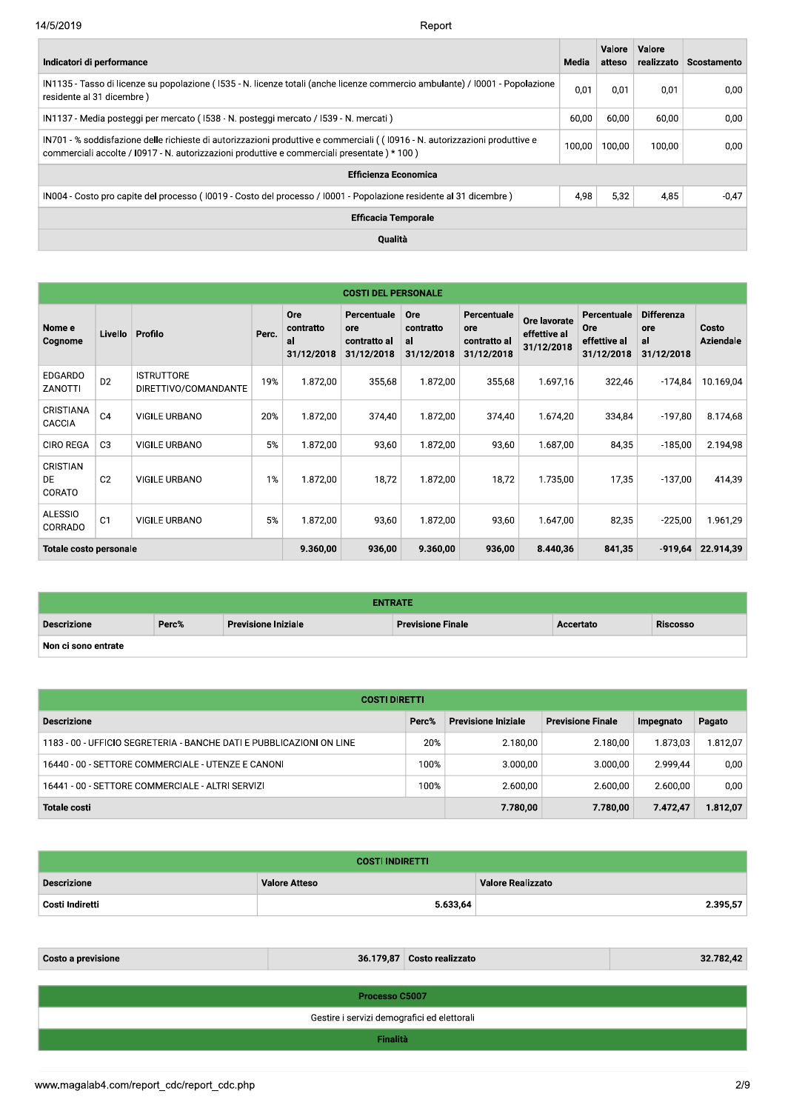| Indicatori di performance                                                                                                                                                                                                    | Media  | Valore<br>atteso | Valore<br>realizzato | Scostamento |
|------------------------------------------------------------------------------------------------------------------------------------------------------------------------------------------------------------------------------|--------|------------------|----------------------|-------------|
| IN1135 - Tasso di licenze su popolazione (1535 - N. licenze totali (anche licenze commercio ambulante) / 10001 - Popolazione<br>residente al 31 dicembre)                                                                    | 0,01   | 0.01             | 0.01                 | 0,00        |
| IN1137 - Media posteggi per mercato (1538 - N. posteggi mercato / 1539 - N. mercati)                                                                                                                                         | 60,00  | 60.00            | 60.00                | 0.00        |
| IN701 - % soddisfazione delle richieste di autorizzazioni produttive e commerciali ((10916 - N. autorizzazioni produttive e<br>commerciali accolte / I0917 - N. autorizzazioni produttive e commerciali presentate ) * 100 ) | 100.00 | 100.00           | 100.00               | 0.00        |
| <b>Efficienza Economica</b>                                                                                                                                                                                                  |        |                  |                      |             |
| IN004 - Costo pro capite del processo (10019 - Costo del processo / 10001 - Popolazione residente al 31 dicembre)                                                                                                            | 4.98   | 5,32             | 4,85                 | $-0.47$     |
| <b>Efficacia Temporale</b>                                                                                                                                                                                                   |        |                  |                      |             |
| <b>Oualità</b>                                                                                                                                                                                                               |        |                  |                      |             |

|                                  |                |                                           |       |                                      | <b>COSTI DEL PERSONALE</b>                       |                                      |                                                  |                                            |                                                         |                                              |                           |
|----------------------------------|----------------|-------------------------------------------|-------|--------------------------------------|--------------------------------------------------|--------------------------------------|--------------------------------------------------|--------------------------------------------|---------------------------------------------------------|----------------------------------------------|---------------------------|
| Nome e<br>Cognome                | Livello        | Profilo                                   | Perc. | Ore<br>contratto<br>al<br>31/12/2018 | Percentuale<br>ore<br>contratto al<br>31/12/2018 | Ore<br>contratto<br>al<br>31/12/2018 | Percentuale<br>ore<br>contratto al<br>31/12/2018 | Ore lavorate<br>effettive al<br>31/12/2018 | Percentuale<br><b>Ore</b><br>effettive al<br>31/12/2018 | <b>Differenza</b><br>ore<br>al<br>31/12/2018 | Costo<br><b>Aziendale</b> |
| <b>EDGARDO</b><br>ZANOTTI        | D <sub>2</sub> | <b>ISTRUTTORE</b><br>DIRETTIVO/COMANDANTE | 19%   | 1.872,00                             | 355,68                                           | 1.872,00                             | 355,68                                           | 1.697,16                                   | 322,46                                                  | -174,84                                      | 10.169,04                 |
| CRISTIANA<br>CACCIA              | C <sub>4</sub> | <b>VIGILE URBANO</b>                      | 20%   | 1.872,00                             | 374,40                                           | 1.872,00                             | 374,40                                           | 1.674,20                                   | 334,84                                                  | $-197,80$                                    | 8.174,68                  |
| <b>CIRO REGA</b>                 | C <sub>3</sub> | <b>VIGILE URBANO</b>                      | 5%    | 1.872.00                             | 93,60                                            | 1.872.00                             | 93,60                                            | 1.687.00                                   | 84,35                                                   | $-185,00$                                    | 2.194,98                  |
| <b>CRISTIAN</b><br>DE.<br>CORATO | C <sub>2</sub> | <b>VIGILE URBANO</b>                      | 1%    | 1.872,00                             | 18,72                                            | 1.872,00                             | 18,72                                            | 1.735,00                                   | 17,35                                                   | $-137,00$                                    | 414,39                    |
| <b>ALESSIO</b><br>CORRADO        | C <sub>1</sub> | <b>VIGILE URBANO</b>                      | 5%    | 1.872,00                             | 93,60                                            | 1.872,00                             | 93,60                                            | 1.647,00                                   | 82,35                                                   | $-225,00$                                    | 1.961,29                  |
| <b>Totale costo personale</b>    |                |                                           |       | 9.360,00                             | 936,00                                           | 9.360,00                             | 936,00                                           | 8.440,36                                   | 841,35                                                  | $-919,64$                                    | 22.914,39                 |

| <b>ENTRATE</b>      |       |                            |                          |           |                 |  |  |  |  |  |
|---------------------|-------|----------------------------|--------------------------|-----------|-----------------|--|--|--|--|--|
| <b>Descrizione</b>  | Perc% | <b>Previsione Iniziale</b> | <b>Previsione Finale</b> | Accertato | <b>Riscosso</b> |  |  |  |  |  |
| Non ci sono entrate |       |                            |                          |           |                 |  |  |  |  |  |

| <b>COSTI DIRETTI</b>                                                 |          |                            |                          |           |          |  |  |  |  |  |  |
|----------------------------------------------------------------------|----------|----------------------------|--------------------------|-----------|----------|--|--|--|--|--|--|
| <b>Descrizione</b>                                                   | Perc%    | <b>Previsione Iniziale</b> | <b>Previsione Finale</b> | Impegnato | Pagato   |  |  |  |  |  |  |
| 1183 - 00 - UFFICIO SEGRETERIA - BANCHE DATI E PUBBLICAZIONI ON LINE | 20%      | 2.180.00                   | 2.180.00                 | 1.873,03  | 1.812,07 |  |  |  |  |  |  |
| 16440 - 00 - SETTORE COMMERCIALE - UTENZE E CANONI                   | 100%     | 3.000.00                   | 3.000.00                 | 2.999.44  | 0,00     |  |  |  |  |  |  |
| 16441 - 00 - SETTORE COMMERCIALE - ALTRI SERVIZI                     | 100%     | 2.600,00                   | 2.600,00                 | 2.600,00  | 0,00     |  |  |  |  |  |  |
| <b>Totale costi</b>                                                  | 7.780,00 | 7.780,00                   | 7.472.47                 | 1.812,07  |          |  |  |  |  |  |  |

| <b>COSTI INDIRETTI</b> |                      |                          |  |  |  |  |  |  |
|------------------------|----------------------|--------------------------|--|--|--|--|--|--|
| <b>Descrizione</b>     | <b>Valore Atteso</b> | <b>Valore Realizzato</b> |  |  |  |  |  |  |
| Costi Indiretti        | 5.633,64             | 2.395,57                 |  |  |  |  |  |  |

| 36.179,87 Costo realizzato<br><b>Costo a previsione</b> |                                             |  |  |  |  |  |  |  |  |
|---------------------------------------------------------|---------------------------------------------|--|--|--|--|--|--|--|--|
|                                                         |                                             |  |  |  |  |  |  |  |  |
| Processo C5007                                          |                                             |  |  |  |  |  |  |  |  |
|                                                         | Gestire i servizi demografici ed elettorali |  |  |  |  |  |  |  |  |
| Finalità                                                |                                             |  |  |  |  |  |  |  |  |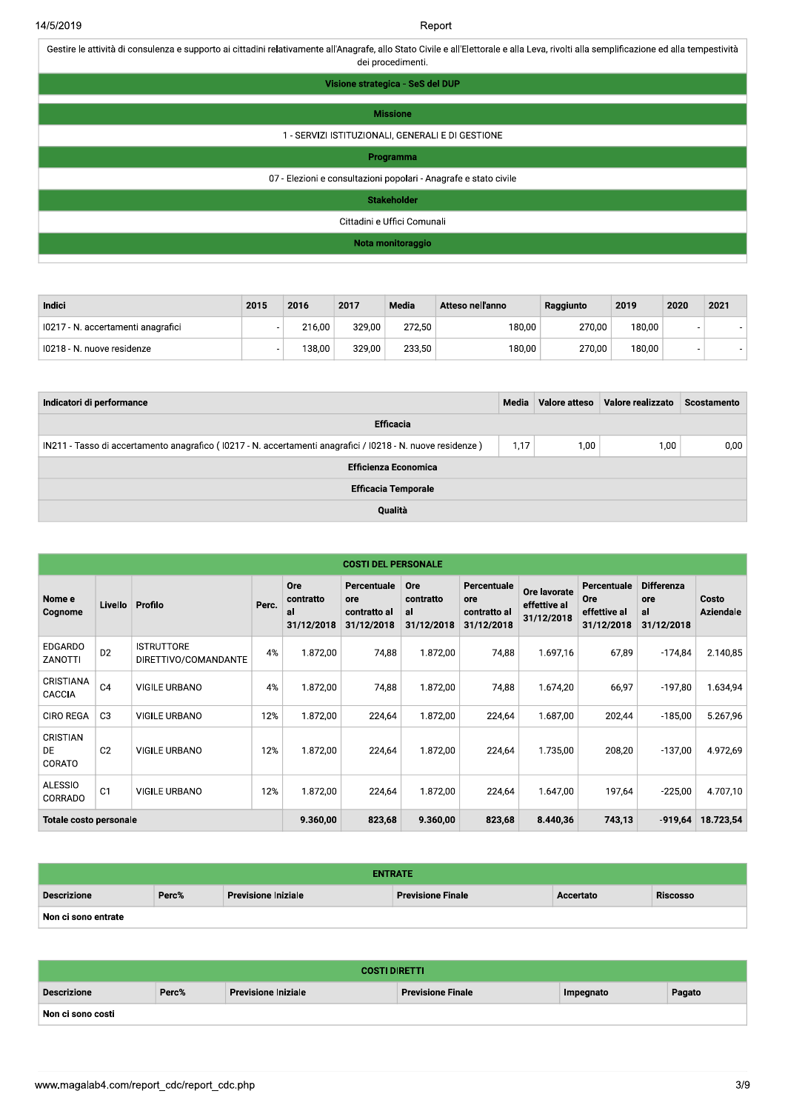Gestire le attività di consulenza e supporto ai cittadini relativamente all'Anagrafe, allo Stato Civile e all'Elettorale e alla Leva, rivolti alla semplificazione ed alla tempestività dei procedimenti.

| Visione strategica - SeS del DUP                                 |
|------------------------------------------------------------------|
| <b>Missione</b>                                                  |
| 1 - SERVIZI ISTITUZIONALI, GENERALI E DI GESTIONE                |
| Programma                                                        |
| 07 - Elezioni e consultazioni popolari - Anagrafe e stato civile |
| <b>Stakeholder</b>                                               |
| Cittadini e Uffici Comunali                                      |
| Nota monitoraggio                                                |

| Indici                             | 2015 | 2016   | 2017   | Media  | Atteso nell'anno | Raggiunto | 2019   | 2020 | 2021 |
|------------------------------------|------|--------|--------|--------|------------------|-----------|--------|------|------|
| I0217 - N. accertamenti anagrafici |      | 216.00 | 329.00 | 272.50 | 180.00           | 270.00    | 180,00 |      |      |
| 10218 - N. nuove residenze         |      | 138.00 | 329.00 | 233.50 | 180,00           | 270.00    | 180.00 |      |      |

| Indicatori di performance                                                                                  | Media | Valore atteso | Valore realizzato | Scostamento |  |  |  |
|------------------------------------------------------------------------------------------------------------|-------|---------------|-------------------|-------------|--|--|--|
| Efficacia                                                                                                  |       |               |                   |             |  |  |  |
| IN211 - Tasso di accertamento anagrafico (10217 - N. accertamenti anagrafici / I0218 - N. nuove residenze) | 1,17  | 1,00          | 1,00              | 0,00        |  |  |  |
| <b>Efficienza Economica</b>                                                                                |       |               |                   |             |  |  |  |
| <b>Efficacia Temporale</b>                                                                                 |       |               |                   |             |  |  |  |
| Qualità                                                                                                    |       |               |                   |             |  |  |  |

|                                 | <b>COSTI DEL PERSONALE</b> |                                           |          |                                      |                                                  |                                             |                                                  |                                            |                                                         |                                              |                           |
|---------------------------------|----------------------------|-------------------------------------------|----------|--------------------------------------|--------------------------------------------------|---------------------------------------------|--------------------------------------------------|--------------------------------------------|---------------------------------------------------------|----------------------------------------------|---------------------------|
| Nome e<br>Cognome               | Livello                    | Profilo                                   | Perc.    | Ore<br>contratto<br>al<br>31/12/2018 | Percentuale<br>ore<br>contratto al<br>31/12/2018 | <b>Ore</b><br>contratto<br>al<br>31/12/2018 | Percentuale<br>ore<br>contratto al<br>31/12/2018 | Ore lavorate<br>effettive al<br>31/12/2018 | Percentuale<br><b>Ore</b><br>effettive al<br>31/12/2018 | <b>Differenza</b><br>ore<br>al<br>31/12/2018 | Costo<br><b>Aziendale</b> |
| <b>EDGARDO</b><br>ZANOTTI       | D <sub>2</sub>             | <b>ISTRUTTORE</b><br>DIRETTIVO/COMANDANTE | 4%       | 1.872,00                             | 74,88                                            | 1.872,00                                    | 74,88                                            | 1.697,16                                   | 67,89                                                   | $-174,84$                                    | 2.140,85                  |
| CRISTIANA<br>CACCIA             | C <sub>4</sub>             | VIGILE URBANO                             | 4%       | 1.872,00                             | 74,88                                            | 1.872,00                                    | 74,88                                            | 1.674,20                                   | 66,97                                                   | $-197,80$                                    | 1.634,94                  |
| <b>CIRO REGA</b>                | C <sub>3</sub>             | <b>VIGILE URBANO</b>                      | 12%      | 1.872,00                             | 224,64                                           | 1.872,00                                    | 224,64                                           | 1.687.00                                   | 202,44                                                  | $-185,00$                                    | 5.267,96                  |
| CRISTIAN<br><b>DE</b><br>CORATO | C <sub>2</sub>             | <b>VIGILE URBANO</b>                      | 12%      | 1.872,00                             | 224,64                                           | 1.872,00                                    | 224,64                                           | 1.735,00                                   | 208,20                                                  | $-137,00$                                    | 4.972,69                  |
| <b>ALESSIO</b><br>CORRADO       | C <sub>1</sub>             | <b>VIGILE URBANO</b>                      | 12%      | 1.872,00                             | 224,64                                           | 1.872,00                                    | 224,64                                           | 1.647,00                                   | 197,64                                                  | $-225,00$                                    | 4.707,10                  |
| Totale costo personale          |                            |                                           | 9.360,00 | 823,68                               | 9.360,00                                         | 823,68                                      | 8.440,36                                         | 743,13                                     | $-919,64$                                               | 18.723,54                                    |                           |

| <b>ENTRATE</b>      |       |                            |                                                   |  |  |  |  |  |
|---------------------|-------|----------------------------|---------------------------------------------------|--|--|--|--|--|
| <b>Descrizione</b>  | Perc% | <b>Previsione Iniziale</b> | Riscosso<br><b>Previsione Finale</b><br>Accertato |  |  |  |  |  |
| Non ci sono entrate |       |                            |                                                   |  |  |  |  |  |

| <b>COSTI DIRETTI</b> |                                                                                        |  |  |  |  |  |  |  |  |
|----------------------|----------------------------------------------------------------------------------------|--|--|--|--|--|--|--|--|
| Descrizione          | Perc%<br><b>Previsione Iniziale</b><br>Pagato<br><b>Previsione Finale</b><br>Impegnato |  |  |  |  |  |  |  |  |
| Non ci sono costi    |                                                                                        |  |  |  |  |  |  |  |  |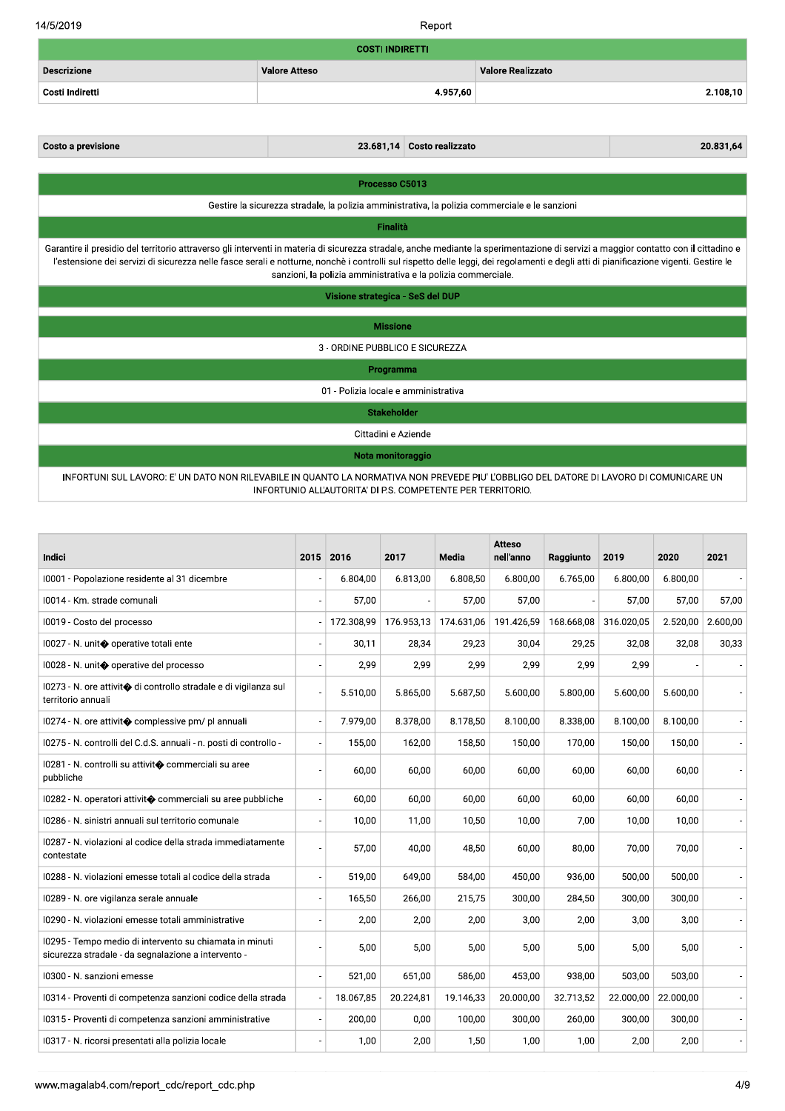14/5/2019

Report

| <b>COSTI INDIRETTI</b>                                                                         |          |                                                                                                                                                                                                                                 |                                                                                                                                                                                                                                                                                                                                                                                                                                                                  |  |  |  |  |  |  |
|------------------------------------------------------------------------------------------------|----------|---------------------------------------------------------------------------------------------------------------------------------------------------------------------------------------------------------------------------------|------------------------------------------------------------------------------------------------------------------------------------------------------------------------------------------------------------------------------------------------------------------------------------------------------------------------------------------------------------------------------------------------------------------------------------------------------------------|--|--|--|--|--|--|
| <b>Valore Atteso</b>                                                                           |          | <b>Valore Realizzato</b>                                                                                                                                                                                                        |                                                                                                                                                                                                                                                                                                                                                                                                                                                                  |  |  |  |  |  |  |
|                                                                                                | 4.957,60 |                                                                                                                                                                                                                                 | 2.108,10                                                                                                                                                                                                                                                                                                                                                                                                                                                         |  |  |  |  |  |  |
|                                                                                                |          |                                                                                                                                                                                                                                 |                                                                                                                                                                                                                                                                                                                                                                                                                                                                  |  |  |  |  |  |  |
| 23.681,14                                                                                      |          |                                                                                                                                                                                                                                 | 20.831,64                                                                                                                                                                                                                                                                                                                                                                                                                                                        |  |  |  |  |  |  |
|                                                                                                |          |                                                                                                                                                                                                                                 |                                                                                                                                                                                                                                                                                                                                                                                                                                                                  |  |  |  |  |  |  |
|                                                                                                |          |                                                                                                                                                                                                                                 |                                                                                                                                                                                                                                                                                                                                                                                                                                                                  |  |  |  |  |  |  |
| Gestire la sicurezza stradale, la polizia amministrativa, la polizia commerciale e le sanzioni |          |                                                                                                                                                                                                                                 |                                                                                                                                                                                                                                                                                                                                                                                                                                                                  |  |  |  |  |  |  |
| Finalità                                                                                       |          |                                                                                                                                                                                                                                 |                                                                                                                                                                                                                                                                                                                                                                                                                                                                  |  |  |  |  |  |  |
|                                                                                                |          |                                                                                                                                                                                                                                 |                                                                                                                                                                                                                                                                                                                                                                                                                                                                  |  |  |  |  |  |  |
|                                                                                                |          |                                                                                                                                                                                                                                 |                                                                                                                                                                                                                                                                                                                                                                                                                                                                  |  |  |  |  |  |  |
|                                                                                                |          |                                                                                                                                                                                                                                 |                                                                                                                                                                                                                                                                                                                                                                                                                                                                  |  |  |  |  |  |  |
|                                                                                                |          |                                                                                                                                                                                                                                 |                                                                                                                                                                                                                                                                                                                                                                                                                                                                  |  |  |  |  |  |  |
|                                                                                                |          |                                                                                                                                                                                                                                 |                                                                                                                                                                                                                                                                                                                                                                                                                                                                  |  |  |  |  |  |  |
|                                                                                                |          |                                                                                                                                                                                                                                 |                                                                                                                                                                                                                                                                                                                                                                                                                                                                  |  |  |  |  |  |  |
|                                                                                                |          |                                                                                                                                                                                                                                 |                                                                                                                                                                                                                                                                                                                                                                                                                                                                  |  |  |  |  |  |  |
|                                                                                                |          |                                                                                                                                                                                                                                 |                                                                                                                                                                                                                                                                                                                                                                                                                                                                  |  |  |  |  |  |  |
|                                                                                                |          |                                                                                                                                                                                                                                 |                                                                                                                                                                                                                                                                                                                                                                                                                                                                  |  |  |  |  |  |  |
|                                                                                                |          | Processo C5013<br>Visione strategica - SeS del DUP<br><b>Missione</b><br>3 - ORDINE PUBBLICO E SICUREZZA<br>Programma<br>01 - Polizia locale e amministrativa<br><b>Stakeholder</b><br>Cittadini e Aziende<br>Nota monitoraggio | Costo realizzato<br>Garantire il presidio del territorio attraverso gli interventi in materia di sicurezza stradale, anche mediante la sperimentazione di servizi a maggior contatto con il cittadino e<br>l'estensione dei servizi di sicurezza nelle fasce serali e notturne, nonchè i controlli sul rispetto delle leggi, dei regolamenti e degli atti di pianificazione vigenti. Gestire le<br>sanzioni, la polizia amministrativa e la polizia commerciale. |  |  |  |  |  |  |

INFORTUNI SUL LAVORO: E' UN DATO NON RILEVABILE IN QUANTO LA NORMATIVA NON PREVEDE PIU' L'OBBLIGO DEL DATORE DI LAVORO DI COMUNICARE UN INFORTUNIO ALL'AUTORITA' DI P.S. COMPETENTE PER TERRITORIO.

| <b>Indici</b>                                                                                                  | 2015 2016  | 2017       | Media      | <b>Atteso</b><br>nell'anno | Raggiunto  | 2019       | 2020                  | 2021     |
|----------------------------------------------------------------------------------------------------------------|------------|------------|------------|----------------------------|------------|------------|-----------------------|----------|
| 10001 - Popolazione residente al 31 dicembre                                                                   | 6.804,00   | 6.813,00   | 6.808,50   | 6.800,00                   | 6.765,00   | 6.800,00   | 6.800,00              |          |
| 10014 - Km. strade comunali                                                                                    | 57,00      |            | 57,00      | 57,00                      |            | 57,00      | 57,00                 | 57,00    |
| I0019 - Costo del processo                                                                                     | 172.308,99 | 176.953,13 | 174.631,06 | 191.426,59                 | 168.668.08 | 316.020,05 | 2.520,00              | 2.600.00 |
| 10027 - N. unit◆ operative totali ente                                                                         | 30,11      | 28,34      | 29,23      | 30,04                      | 29,25      | 32,08      | 32,08                 | 30,33    |
| 10028 - N. unit◆ operative del processo                                                                        | 2,99       | 2,99       | 2,99       | 2,99                       | 2,99       | 2,99       |                       |          |
| 10273 - N. ore attivit� di controllo stradale e di vigilanza sul<br>territorio annuali                         | 5.510,00   | 5.865,00   | 5.687,50   | 5.600,00                   | 5.800,00   | 5.600,00   | 5.600,00              |          |
| 10274 - N. ore attivit◆ complessive pm/ pl annuali                                                             | 7.979,00   | 8.378,00   | 8.178,50   | 8.100,00                   | 8.338,00   | 8.100,00   | 8.100,00              |          |
| 10275 - N. controlli del C.d.S. annuali - n. posti di controllo -                                              | 155,00     | 162,00     | 158,50     | 150,00                     | 170,00     | 150,00     | 150,00                |          |
| 10281 - N. controlli su attivit◆ commerciali su aree<br>pubbliche                                              | 60,00      | 60,00      | 60,00      | 60,00                      | 60,00      | 60,00      | 60,00                 |          |
| 10282 - N. operatori attivit� commerciali su aree pubbliche                                                    | 60,00      | 60,00      | 60,00      | 60,00                      | 60,00      | 60,00      | 60,00                 |          |
| I0286 - N. sinistri annuali sul territorio comunale                                                            | 10,00      | 11,00      | 10,50      | 10,00                      | 7,00       | 10,00      | 10,00                 |          |
| 10287 - N. violazioni al codice della strada immediatamente<br>contestate                                      | 57,00      | 40,00      | 48,50      | 60,00                      | 80,00      | 70,00      | 70,00                 |          |
| I0288 - N. violazioni emesse totali al codice della strada                                                     | 519.00     | 649.00     | 584.00     | 450.00                     | 936.00     | 500.00     | 500.00                |          |
| 10289 - N. ore vigilanza serale annuale                                                                        | 165,50     | 266,00     | 215.75     | 300,00                     | 284,50     | 300,00     | 300,00                |          |
| I0290 - N. violazioni emesse totali amministrative                                                             | 2,00       | 2,00       | 2,00       | 3,00                       | 2,00       | 3,00       | 3,00                  |          |
| 10295 - Tempo medio di intervento su chiamata in minuti<br>sicurezza stradale - da segnalazione a intervento - | 5,00       | 5,00       | 5,00       | 5,00                       | 5,00       | 5,00       | 5,00                  |          |
| I0300 - N. sanzioni emesse                                                                                     | 521,00     | 651,00     | 586,00     | 453,00                     | 938,00     | 503,00     | 503,00                |          |
| 10314 - Proventi di competenza sanzioni codice della strada                                                    | 18.067,85  | 20.224,81  | 19.146,33  | 20.000,00                  | 32.713,52  |            | 22.000,00   22.000,00 |          |
| 10315 - Proventi di competenza sanzioni amministrative                                                         | 200,00     | 0,00       | 100,00     | 300,00                     | 260,00     | 300,00     | 300,00                |          |
| 10317 - N. ricorsi presentati alla polizia locale                                                              | 1,00       | 2,00       | 1,50       | 1,00                       | 1,00       | 2,00       | 2,00                  |          |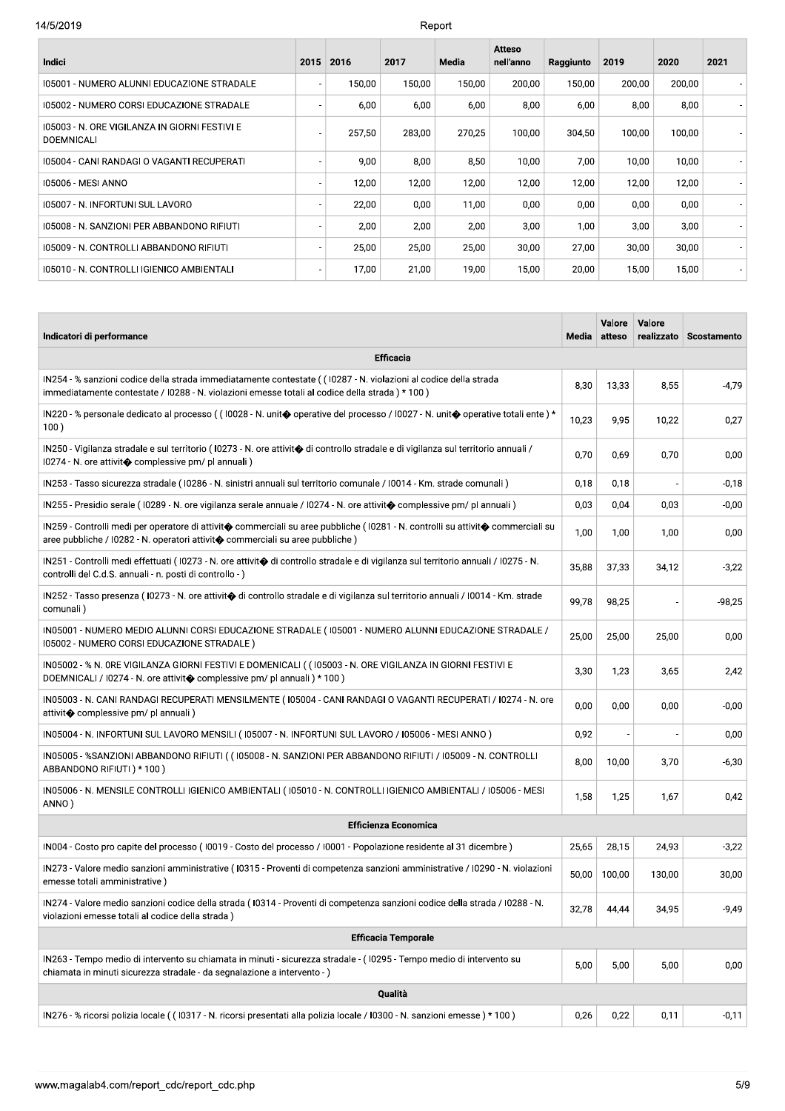| Indici                                                             | 2015 | 2016   | 2017   | Media  | <b>Atteso</b><br>nell'anno | Raggiunto | 2019   | 2020   | 2021 |
|--------------------------------------------------------------------|------|--------|--------|--------|----------------------------|-----------|--------|--------|------|
| 105001 - NUMERO ALUNNI EDUCAZIONE STRADALE                         |      | 150.00 | 150.00 | 150.00 | 200.00                     | 150.00    | 200.00 | 200,00 |      |
| 105002 - NUMERO CORSI EDUCAZIONE STRADALE                          |      | 6,00   | 6,00   | 6,00   | 8,00                       | 6,00      | 8,00   | 8,00   |      |
| 105003 - N. ORE VIGILANZA IN GIORNI FESTIVI E<br><b>DOEMNICALI</b> |      | 257,50 | 283,00 | 270,25 | 100,00                     | 304,50    | 100,00 | 100,00 |      |
| 105004 - CANI RANDAGI O VAGANTI RECUPERATI                         |      | 9,00   | 8,00   | 8,50   | 10,00                      | 7,00      | 10,00  | 10,00  |      |
| 105006 - MESI ANNO                                                 |      | 12,00  | 12,00  | 12,00  | 12,00                      | 12,00     | 12,00  | 12,00  |      |
| 105007 - N. INFORTUNI SUL LAVORO                                   |      | 22,00  | 0,00   | 11,00  | 0,00                       | 0,00      | 0,00   | 0,00   |      |
| 105008 - N. SANZIONI PER ABBANDONO RIFIUTI                         |      | 2,00   | 2,00   | 2,00   | 3,00                       | 1,00      | 3,00   | 3,00   |      |
| 105009 - N. CONTROLLI ABBANDONO RIFIUTI                            |      | 25,00  | 25,00  | 25,00  | 30,00                      | 27,00     | 30,00  | 30,00  |      |
| 105010 - N. CONTROLLI IGIENICO AMBIENTALI                          |      | 17,00  | 21,00  | 19,00  | 15,00                      | 20,00     | 15,00  | 15,00  |      |
|                                                                    |      |        |        |        |                            |           |        |        |      |

| Indicatori di performance                                                                                                                                                                                                 | Media | Valore<br>atteso | Valore<br>realizzato | Scostamento |
|---------------------------------------------------------------------------------------------------------------------------------------------------------------------------------------------------------------------------|-------|------------------|----------------------|-------------|
| <b>Efficacia</b>                                                                                                                                                                                                          |       |                  |                      |             |
| IN254 - % sanzioni codice della strada immediatamente contestate ((I0287 - N. violazioni al codice della strada<br>immediatamente contestate / I0288 - N. violazioni emesse totali al codice della strada) * 100)         | 8,30  | 13,33            | 8,55                 | $-4,79$     |
| IN220 - % personale dedicato al processo ((10028 - N. unit $\bullet$ operative del processo /10027 - N. unit $\bullet$ operative totali ente) *<br>100)                                                                   | 10,23 | 9,95             | 10,22                | 0,27        |
| IN250 - Vigilanza stradale e sul territorio (10273 - N. ore attivit� di controllo stradale e di vigilanza sul territorio annuali /<br>I0274 - N. ore attivit◆ complessive pm/ pl annuali)                                 | 0,70  | 0,69             | 0,70                 | 0,00        |
| IN253 - Tasso sicurezza stradale (10286 - N. sinistri annuali sul territorio comunale / I0014 - Km. strade comunali)                                                                                                      | 0.18  | 0,18             |                      | $-0,18$     |
| IN255 - Presidio serale (10289 - N. ore vigilanza serale annuale / I0274 - N. ore attivit� complessive pm/ pl annuali)                                                                                                    | 0,03  | 0,04             | 0,03                 | $-0,00$     |
| IN259 - Controlli medi per operatore di attivit� commerciali su aree pubbliche (10281 - N. controlli su attivit� commerciali su<br>aree pubbliche / 10282 - N. operatori attivit $\bullet$ commerciali su aree pubbliche) | 1,00  | 1,00             | 1,00                 | 0,00        |
| IN251 - Controlli medi effettuati (10273 - N. ore attivit� di controllo stradale e di vigilanza sul territorio annuali / I0275 - N.<br>controlli del C.d.S. annuali - n. posti di controllo -)                            | 35,88 | 37,33            | 34,12                | $-3,22$     |
| IN252 - Tasso presenza (10273 - N. ore attivit� di controllo stradale e di vigilanza sul territorio annuali / I0014 - Km. strade<br>comunali)                                                                             | 99,78 | 98,25            |                      | $-98,25$    |
| / IN05001 - NUMERO MEDIO ALUNNI CORSI EDUCAZIONE STRADALE ( I05001 - NUMERO ALUNNI EDUCAZIONE STRADALE<br>105002 - NUMERO CORSI EDUCAZIONE STRADALE)                                                                      | 25,00 | 25,00            | 25,00                | 0,00        |
| IN05002 - % N. ORE VIGILANZA GIORNI FESTIVI E DOMENICALI ( ( I05003 - N. ORE VIGILANZA IN GIORNI FESTIVI E<br>DOEMNICALI / I0274 - N. ore attivit� complessive pm/ pl annuali) * 100)                                     | 3,30  | 1,23             | 3,65                 | 2,42        |
| IN05003 - N. CANI RANDAGI RECUPERATI MENSILMENTE (105004 - CANI RANDAGI O VAGANTI RECUPERATI / 10274 - N. ore<br>attivit $\bullet$ complessive pm/ pl annuali)                                                            | 0,00  | 0,00             | 0,00                 | $-0,00$     |
| IN05004 - N. INFORTUNI SUL LAVORO MENSILI (105007 - N. INFORTUNI SUL LAVORO / 105006 - MESI ANNO)                                                                                                                         | 0,92  |                  |                      | 0,00        |
| IN05005 - %SANZIONI ABBANDONO RIFIUTI ( ( I05008 - N. SANZIONI PER ABBANDONO RIFIUTI / I05009 - N. CONTROLLI<br>ABBANDONO RIFIUTI) * 100)                                                                                 | 8,00  | 10,00            | 3,70                 | $-6,30$     |
| IN05006 - N. MENSILE CONTROLLI IGIENICO AMBIENTALI (105010 - N. CONTROLLI IGIENICO AMBIENTALI / 105006 - MESI<br>ANNO)                                                                                                    | 1,58  | 1,25             | 1,67                 | 0,42        |
| <b>Efficienza Economica</b>                                                                                                                                                                                               |       |                  |                      |             |
| IN004 - Costo pro capite del processo (10019 - Costo del processo / 10001 - Popolazione residente al 31 dicembre)                                                                                                         | 25,65 | 28,15            | 24,93                | $-3,22$     |
| IN273 - Valore medio sanzioni amministrative (10315 - Proventi di competenza sanzioni amministrative / I0290 - N. violazioni<br>emesse totali amministrative)                                                             | 50,00 | 100,00           | 130,00               | 30,00       |
| IN274 - Valore medio sanzioni codice della strada (I0314 - Proventi di competenza sanzioni codice della strada / I0288 - N<br>violazioni emesse totali al codice della strada)                                            | 32,78 | 44,44            | 34,95                | $-9,49$     |
| <b>Efficacia Temporale</b>                                                                                                                                                                                                |       |                  |                      |             |
| IN263 - Tempo medio di intervento su chiamata in minuti - sicurezza stradale - (10295 - Tempo medio di intervento su<br>chiamata in minuti sicurezza stradale - da segnalazione a intervento - )                          | 5,00  | 5,00             | 5,00                 | 0,00        |
| Qualità                                                                                                                                                                                                                   |       |                  |                      |             |
| IN276 - % ricorsi polizia locale ((10317 - N. ricorsi presentati alla polizia locale / 10300 - N. sanzioni emesse) * 100)                                                                                                 | 0,26  | 0,22             | 0,11                 | -0,11       |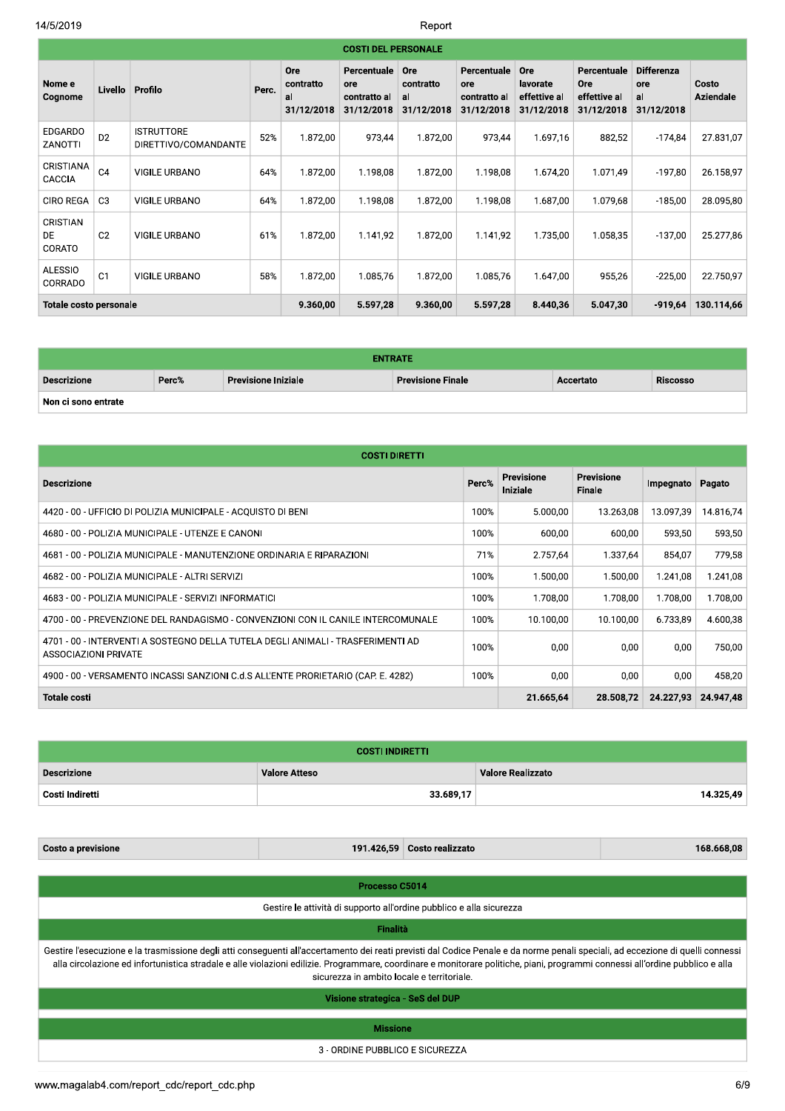#### $2019$  Report of the set of the set of the set of the set of the set of the set of the set of the set of the set of the set of the set of the set of the set of the set of the set of the set of the set of the set of the se Report

|                                 | <b>COSTI DEL PERSONALE</b> |                                           |       |                                      |                                                  |                                      |                                                  |                                               |                                                  |                                              |                           |
|---------------------------------|----------------------------|-------------------------------------------|-------|--------------------------------------|--------------------------------------------------|--------------------------------------|--------------------------------------------------|-----------------------------------------------|--------------------------------------------------|----------------------------------------------|---------------------------|
| Nome e<br>Cognome               | Livello                    | Profilo                                   | Perc. | Ore<br>contratto<br>al<br>31/12/2018 | Percentuale<br>ore<br>contratto al<br>31/12/2018 | Ore<br>contratto<br>al<br>31/12/2018 | Percentuale<br>ore<br>contratto al<br>31/12/2018 | Ore<br>lavorate<br>effettive al<br>31/12/2018 | Percentuale<br>Ore<br>effettive al<br>31/12/2018 | <b>Differenza</b><br>ore<br>al<br>31/12/2018 | Costo<br><b>Aziendale</b> |
| <b>EDGARDO</b><br>ZANOTTI       | D <sub>2</sub>             | <b>ISTRUTTORE</b><br>DIRETTIVO/COMANDANTE | 52%   | 1.872,00                             | 973,44                                           | 1.872,00                             | 973,44                                           | 1.697,16                                      | 882,52                                           | $-174,84$                                    | 27.831,07                 |
| CRISTIANA<br>CACCIA             | C <sub>4</sub>             | VIGILE URBANO                             | 64%   | 1.872,00                             | 1.198,08                                         | 1.872,00                             | 1.198,08                                         | 1.674,20                                      | 1.071,49                                         | $-197,80$                                    | 26.158,97                 |
| <b>CIRO REGA</b>                | C <sub>3</sub>             | VIGILE URBANO                             | 64%   | 1.872,00                             | 1.198,08                                         | 1.872,00                             | 1.198,08                                         | 1.687,00                                      | 1.079,68                                         | $-185,00$                                    | 28.095,80                 |
| CRISTIAN<br><b>DE</b><br>CORATO | C <sub>2</sub>             | <b>VIGILE URBANO</b>                      | 61%   | 1.872,00                             | 1.141,92                                         | 1.872,00                             | 1.141,92                                         | 1.735,00                                      | 1.058,35                                         | $-137,00$                                    | 25.277,86                 |
| <b>ALESSIO</b><br>CORRADO       | C <sub>1</sub>             | VIGILE URBANO                             | 58%   | 1.872,00                             | 1.085,76                                         | 1.872,00                             | 1.085,76                                         | 1.647,00                                      | 955,26                                           | $-225,00$                                    | 22.750,97                 |
| <b>Totale costo personale</b>   |                            |                                           |       | 9.360,00                             | 5.597,28                                         | 9.360,00                             | 5.597,28                                         | 8.440,36                                      | 5.047,30                                         | $-919,64$                                    | 130.114,66                |

| Totale costo personale |       |                            | <b>9.300,00</b> | 5.597,28       | <b>9.300,00</b>          | 3.397,Z8 | 8.440,30 | 3.047,30  | -919,04         | 130.114,00 |
|------------------------|-------|----------------------------|-----------------|----------------|--------------------------|----------|----------|-----------|-----------------|------------|
|                        |       |                            |                 |                |                          |          |          |           |                 |            |
|                        |       |                            |                 | <b>ENTRATE</b> |                          |          |          |           |                 |            |
| <b>Descrizione</b>     | Perc% | <b>Previsione Iniziale</b> |                 |                | <b>Previsione Finale</b> |          |          | Accertato | <b>Riscosso</b> |            |
| Non ci sono entrate    |       |                            |                 |                |                          |          |          |           |                 |            |

| Non ci sono entrate                                                                                            |       |                               |                             |           |           |  |  |  |  |
|----------------------------------------------------------------------------------------------------------------|-------|-------------------------------|-----------------------------|-----------|-----------|--|--|--|--|
|                                                                                                                |       |                               |                             |           |           |  |  |  |  |
| <b>COSTI DIRETTI</b>                                                                                           |       |                               |                             |           |           |  |  |  |  |
| <b>Descrizione</b>                                                                                             | Perc% | <b>Previsione</b><br>Iniziale | <b>Previsione</b><br>Finale | Impegnato | Pagato    |  |  |  |  |
| 4420 - 00 - UFFICIO DI POLIZIA MUNICIPALE - ACQUISTO DI BENI                                                   | 100%  | 5.000.00                      | 13.263,08                   | 13.097,39 | 14.816,74 |  |  |  |  |
| 4680 - 00 - POLIZIA MUNICIPALE - UTENZE E CANONI                                                               | 100%  | 600,00                        | 600,00                      | 593,50    | 593,50    |  |  |  |  |
| 4681 - 00 - POLIZIA MUNICIPALE - MANUTENZIONE ORDINARIA E RIPARAZIONI                                          | 71%   | 2.757,64                      | 1.337,64                    | 854,07    | 779,58    |  |  |  |  |
| 4682 - 00 - POLIZIA MUNICIPALE - ALTRI SERVIZI                                                                 | 100%  | 1.500,00                      | 1.500,00                    | 1.241,08  | 1.241,08  |  |  |  |  |
| 4683 - 00 - POLIZIA MUNICIPALE - SERVIZI INFORMATICI                                                           | 100%  | 1.708,00                      | 1.708,00                    | 1.708,00  | 1.708,00  |  |  |  |  |
| 4700 - 00 - PREVENZIONE DEL RANDAGISMO - CONVENZIONI CON IL CANILE INTERCOMUNALE                               | 100%  | 10.100,00                     | 10.100,00                   | 6.733,89  | 4.600,38  |  |  |  |  |
| 4701 - 00 - INTERVENTI A SOSTEGNO DELLA TUTELA DEGLI ANIMALI - TRASFERIMENTI AD<br><b>ASSOCIAZIONI PRIVATE</b> | 100%  | 0,00                          | 0,00                        | 0,00      | 750,00    |  |  |  |  |
| 4900 - 00 - VERSAMENTO INCASSI SANZIONI C.d.S ALL'ENTE PRORIETARIO (CAP. E. 4282)                              | 100%  | 0,00                          | 0,00                        | 0,00      | 458,20    |  |  |  |  |
| <b>Totale costi</b>                                                                                            |       | 21.665,64                     | 28.508,72                   | 24.227,93 | 24.947,48 |  |  |  |  |

| <b>COSTI INDIRETTI</b> |                      |                          |  |  |  |  |  |
|------------------------|----------------------|--------------------------|--|--|--|--|--|
| <b>Descrizione</b>     | <b>Valore Atteso</b> | <b>Valore Realizzato</b> |  |  |  |  |  |
| Costi Indiretti        | 33.689,17            | 14.325,49                |  |  |  |  |  |

 $\textsf{\small Costo a}$  previsione and the cost of the 2.000 set of the 2.000 set of the 2.000 set of the 2.000 set of the 2.000 set of the 2.000 set of the 2.000 set of the 2.000 set of the 2.000 set of the 2.000 set of the 2.000 se

| Processo C5014                                                                                                                                                                                                                                                                                                                                                                                                 |
|----------------------------------------------------------------------------------------------------------------------------------------------------------------------------------------------------------------------------------------------------------------------------------------------------------------------------------------------------------------------------------------------------------------|
| Gestire le attività di supporto all'ordine pubblico e alla sicurezza                                                                                                                                                                                                                                                                                                                                           |
| <b>Finalità</b>                                                                                                                                                                                                                                                                                                                                                                                                |
| Gestire l'esecuzione e la trasmissione degli atti conseguenti all'accertamento dei reati previsti dal Codice Penale e da norme penali speciali, ad eccezione di quelli connessi<br>alla circolazione ed infortunistica stradale e alle violazioni edilizie. Programmare, coordinare e monitorare politiche, piani, programmi connessi all'ordine pubblico e alla<br>sicurezza in ambito locale e territoriale. |
| Visione strategica - SeS del DUP                                                                                                                                                                                                                                                                                                                                                                               |
| <b>Missione</b>                                                                                                                                                                                                                                                                                                                                                                                                |
| 3 - ORDINE PUBBLICO E SICUREZZA                                                                                                                                                                                                                                                                                                                                                                                |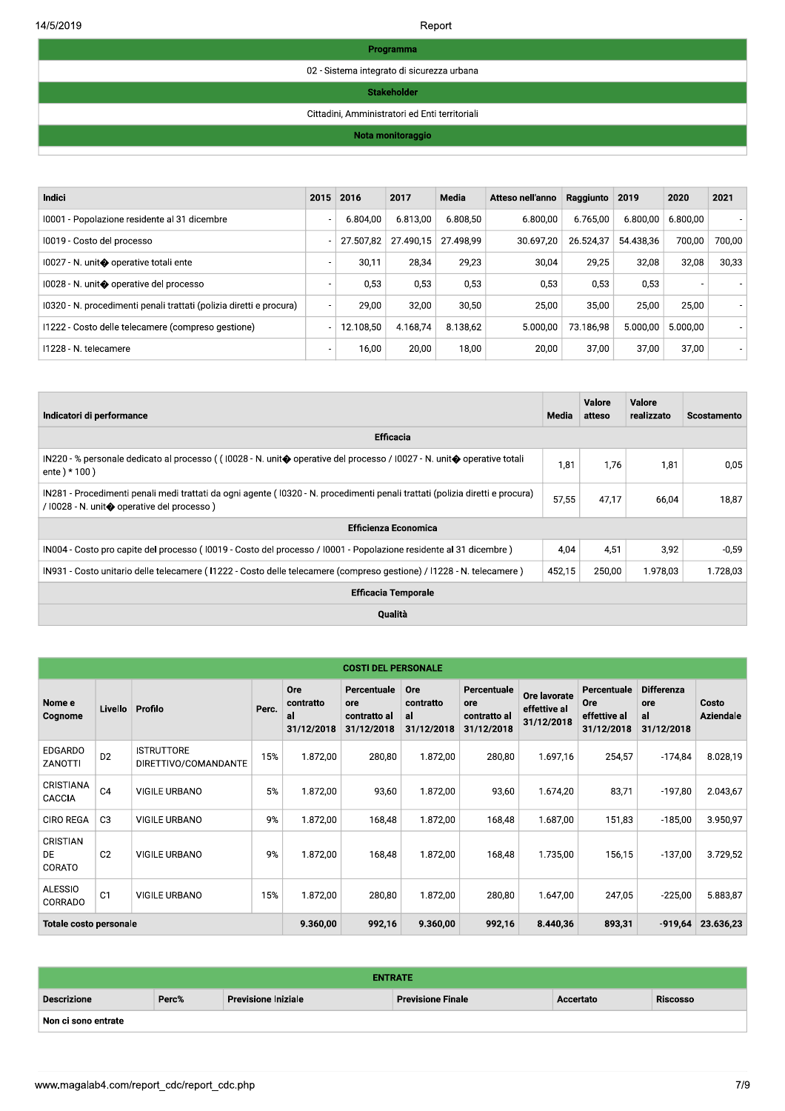| Programma                                  |
|--------------------------------------------|
| 02 - Sistema integrato di sicurezza urbana |

## Stakeholder

#### Cittadini, Amministratori ed Enti territoriali

### Nota monitoraggio

| <b>Indici</b>                                                       | 2015                     | 2016      | 2017      | Media     | Atteso nell'anno | Raggiunto | 2019      | 2020                     | 2021   |
|---------------------------------------------------------------------|--------------------------|-----------|-----------|-----------|------------------|-----------|-----------|--------------------------|--------|
| 10001 - Popolazione residente al 31 dicembre                        | ۰                        | 6.804.00  | 6.813.00  | 6.808.50  | 6.800.00         | 6.765.00  | 6.800,00  | 6.800.00                 |        |
| 10019 - Costo del processo                                          |                          | 27.507,82 | 27.490,15 | 27.498.99 | 30.697,20        | 26.524.37 | 54.438.36 | 700,00                   | 700.00 |
| 10027 - N. unit⊕ operative totali ente                              | ۰                        | 30,11     | 28.34     | 29.23     | 30.04            | 29.25     | 32.08     | 32,08                    | 30.33  |
| 10028 - N. unit◆ operative del processo                             |                          | 0.53      | 0.53      | 0,53      | 0,53             | 0.53      | 0.53      | $\overline{\phantom{a}}$ |        |
| 10320 - N. procedimenti penali trattati (polizia diretti e procura) |                          | 29,00     | 32.00     | 30.50     | 25.00            | 35.00     | 25.00     | 25,00                    |        |
| 11222 - Costo delle telecamere (compreso gestione)                  |                          | 12.108.50 | 4.168.74  | 8.138.62  | 5.000,00         | 73.186.98 | 5.000.00  | 5.000,00                 |        |
| 11228 - N. telecamere                                               | $\overline{\phantom{a}}$ | 16,00     | 20.00     | 18,00     | 20,00            | 37,00     | 37,00     | 37,00                    |        |

| Indicatori di performance                                                                                                                                                   | Media  | Valore<br>atteso | Valore<br>realizzato | <b>Scostamento</b> |
|-----------------------------------------------------------------------------------------------------------------------------------------------------------------------------|--------|------------------|----------------------|--------------------|
| <b>Efficacia</b>                                                                                                                                                            |        |                  |                      |                    |
| IN220 - % personale dedicato al processo ((10028 - N. unit� operative del processo / 10027 - N. unit� operative totali<br>ente $*100$ )                                     | 1,81   | 1,76             | 1,81                 | 0,05               |
| IN281 - Procedimenti penali medi trattati da ogni agente (10320 - N. procedimenti penali trattati (polizia diretti e procura)<br>/ I0028 - N. unit� operative del processo) | 57,55  | 47,17            | 66,04                | 18,87              |
| <b>Efficienza Economica</b>                                                                                                                                                 |        |                  |                      |                    |
| IN004 - Costo pro capite del processo (10019 - Costo del processo / 10001 - Popolazione residente al 31 dicembre)                                                           | 4.04   | 4,51             | 3,92                 | $-0.59$            |
| IN931 - Costo unitario delle telecamere (11222 - Costo delle telecamere (compreso gestione) / I1228 - N. telecamere)                                                        | 452,15 | 250,00           | 1.978,03             | 1.728,03           |
| <b>Efficacia Temporale</b>                                                                                                                                                  |        |                  |                      |                    |
| Qualità                                                                                                                                                                     |        |                  |                      |                    |

|                               |                |                                           |       |                                      | <b>COSTI DEL PERSONALE</b>                       |                                             |                                                  |                                            |                                                         |                                              |                           |
|-------------------------------|----------------|-------------------------------------------|-------|--------------------------------------|--------------------------------------------------|---------------------------------------------|--------------------------------------------------|--------------------------------------------|---------------------------------------------------------|----------------------------------------------|---------------------------|
| Nome e<br>Cognome             | Livello        | Profilo                                   | Perc. | Ore<br>contratto<br>al<br>31/12/2018 | Percentuale<br>ore<br>contratto al<br>31/12/2018 | <b>Ore</b><br>contratto<br>al<br>31/12/2018 | Percentuale<br>ore<br>contratto al<br>31/12/2018 | Ore lavorate<br>effettive al<br>31/12/2018 | Percentuale<br><b>Ore</b><br>effettive al<br>31/12/2018 | <b>Differenza</b><br>ore<br>al<br>31/12/2018 | Costo<br><b>Aziendale</b> |
| <b>EDGARDO</b><br>ZANOTTI     | D <sub>2</sub> | <b>ISTRUTTORE</b><br>DIRETTIVO/COMANDANTE | 15%   | 1.872,00                             | 280,80                                           | 1.872,00                                    | 280,80                                           | 1.697,16                                   | 254,57                                                  | $-174.84$                                    | 8.028,19                  |
| CRISTIANA<br>CACCIA           | C <sub>4</sub> | <b>VIGILE URBANO</b>                      | 5%    | 1.872,00                             | 93,60                                            | 1.872,00                                    | 93,60                                            | 1.674,20                                   | 83,71                                                   | $-197,80$                                    | 2.043,67                  |
| <b>CIRO REGA</b>              | C <sub>3</sub> | <b>VIGILE URBANO</b>                      | 9%    | 1.872,00                             | 168,48                                           | 1.872,00                                    | 168,48                                           | 1.687.00                                   | 151,83                                                  | $-185,00$                                    | 3.950,97                  |
| CRISTIAN<br>DE<br>CORATO      | C <sub>2</sub> | <b>VIGILE URBANO</b>                      | 9%    | 1.872,00                             | 168,48                                           | 1.872,00                                    | 168,48                                           | 1.735,00                                   | 156,15                                                  | $-137,00$                                    | 3.729,52                  |
| <b>ALESSIO</b><br>CORRADO     | C <sub>1</sub> | <b>VIGILE URBANO</b>                      | 15%   | 1.872,00                             | 280,80                                           | 1.872,00                                    | 280,80                                           | 1.647,00                                   | 247,05                                                  | $-225,00$                                    | 5.883,87                  |
| <b>Totale costo personale</b> |                |                                           |       | 9.360,00                             | 992,16                                           | 9.360,00                                    | 992,16                                           | 8.440,36                                   | 893,31                                                  | $-919,64$                                    | 23.636,23                 |

| <b>ENTRATE</b>      |       |                            |                          |           |                 |  |  |  |  |  |
|---------------------|-------|----------------------------|--------------------------|-----------|-----------------|--|--|--|--|--|
| <b>Descrizione</b>  | Perc% | <b>Previsione Iniziale</b> | <b>Previsione Finale</b> | Accertato | <b>Riscosso</b> |  |  |  |  |  |
| Non ci sono entrate |       |                            |                          |           |                 |  |  |  |  |  |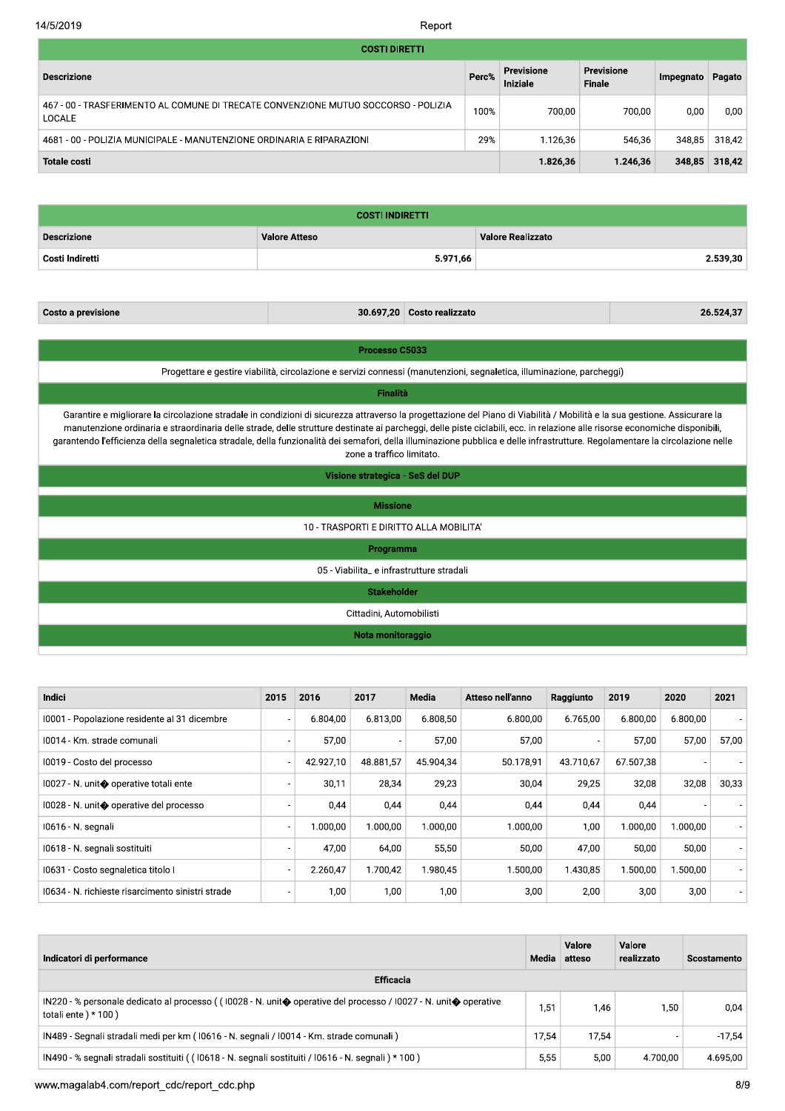#### 14/5/2019

Report

| <b>COSTI DIRETTI</b>                                                                         |       |                        |                             |           |               |
|----------------------------------------------------------------------------------------------|-------|------------------------|-----------------------------|-----------|---------------|
| <b>Descrizione</b>                                                                           | Perc% | Previsione<br>Iniziale | Previsione<br><b>Finale</b> | Impegnato | Pagato        |
| 467 - 00 - TRASFERIMENTO AL COMUNE DI TRECATE CONVENZIONE MUTUO SOCCORSO - POLIZIA<br>LOCALE | 100%  | 700.00                 | 700.00                      | 0,00      | 0.00          |
| 4681 - 00 - POLIZIA MUNICIPALE - MANUTENZIONE ORDINARIA E RIPARAZIONI                        | 29%   | 1.126,36               | 546,36                      | 348,85    | 318,42        |
| <b>Totale costi</b>                                                                          |       | 1.826,36               | 1.246,36                    |           | 348,85 318,42 |

| <b>COSTI INDIRETTI</b> |                      |                          |  |  |  |  |  |  |
|------------------------|----------------------|--------------------------|--|--|--|--|--|--|
| <b>Descrizione</b>     | <b>Valore Atteso</b> | <b>Valore Realizzato</b> |  |  |  |  |  |  |
| ' Costi Indiretti      | 5.971,66             | 2.539,30                 |  |  |  |  |  |  |

Costo a previsione

30.697,20 Costo realizzato

26.524,37

Processo C5033

Progettare e gestire viabilità, circolazione e servizi connessi (manutenzioni, segnaletica, illuminazione, parcheggi)

Finalità

Garantire e migliorare la circolazione stradale in condizioni di sicurezza attraverso la progettazione del Piano di Viabilità / Mobilità e la sua gestione. Assicurare la manutenzione ordinaria e straordinaria delle strade, delle strutture destinate ai parcheggi, delle piste ciclabili, ecc. in relazione alle risorse economiche disponibili, garantendo l'efficienza della segnaletica stradale, della funzionalità dei semafori, della illuminazione pubblica e delle infrastrutture. Regolamentare la circolazione nelle zone a traffico limitato.

Visione strategica - SeS del DUP

**Missione** 

10 - TRASPORTI E DIRITTO ALLA MOBILITA'

Programma

05 - Viabilita\_ e infrastrutture stradali

**Stakeholder** 

Cittadini, Automobilisti

Nota monitoraggio

| Indici                                            | 2015                     | 2016      | 2017      | Media     | Atteso nell'anno | Raggiunto | 2019      | 2020     | 2021  |
|---------------------------------------------------|--------------------------|-----------|-----------|-----------|------------------|-----------|-----------|----------|-------|
| 10001 - Popolazione residente al 31 dicembre      | $\overline{\phantom{a}}$ | 6.804.00  | 6.813.00  | 6.808.50  | 6.800.00         | 6.765.00  | 6.800.00  | 6.800.00 |       |
| 10014 - Km. strade comunali                       | $\overline{\phantom{a}}$ | 57,00     |           | 57,00     | 57,00            |           | 57,00     | 57,00    | 57,00 |
| 10019 - Costo del processo                        | $\overline{\phantom{a}}$ | 42.927.10 | 48.881.57 | 45.904.34 | 50.178,91        | 43.710.67 | 67.507.38 |          |       |
| 10027 - N. unit◆ operative totali ente            | ٠                        | 30,11     | 28,34     | 29,23     | 30.04            | 29,25     | 32,08     | 32,08    | 30,33 |
| 10028 - N. unit� operative del processo           | $\overline{\phantom{a}}$ | 0,44      | 0,44      | 0,44      | 0,44             | 0,44      | 0,44      |          |       |
| I0616 - N. segnali                                | ٠                        | 1.000.00  | 1.000.00  | 1.000.00  | 1.000.00         | 1,00      | 1.000.00  | 1.000.00 |       |
| 10618 - N. segnali sostituiti                     | ٠                        | 47,00     | 64,00     | 55,50     | 50,00            | 47,00     | 50,00     | 50,00    |       |
| 10631 - Costo segnaletica titolo I                | $\overline{\phantom{a}}$ | 2.260.47  | 1.700.42  | 1.980.45  | 1.500.00         | 1.430,85  | 1.500.00  | 1.500,00 |       |
| 10634 - N. richieste risarcimento sinistri strade | ۰                        | 1.00      | 1,00      | 1,00      | 3,00             | 2,00      | 3,00      | 3,00     |       |

| Indicatori di performance                                                                                                                                               |       | Valore<br>Media atteso | Valore<br>realizzato | <b>Scostamento</b> |
|-------------------------------------------------------------------------------------------------------------------------------------------------------------------------|-------|------------------------|----------------------|--------------------|
| <b>Efficacia</b>                                                                                                                                                        |       |                        |                      |                    |
| IN220 - % personale dedicato al processo ( $(10028 - N$ . unit $\diamondsuit$ operative del processo / 10027 - N. unit $\diamondsuit$ operative<br>totali ente $*100$ ) | 51.ا  | 1.46                   | 1.50                 | 0.04               |
| IN489 - Segnali stradali medi per km (10616 - N. segnali / 10014 - Km. strade comunali)                                                                                 | 17.54 | 17.54                  |                      | $-17.54$           |
| IN490 - % segnali stradali sostituiti ((10618 - N. segnali sostituiti / 10616 - N. segnali ) * 100)                                                                     | 5.55  | 5.00                   | 4.700.00             | 4.695,00           |

www.magalab4.com/report\_cdc/report\_cdc.php